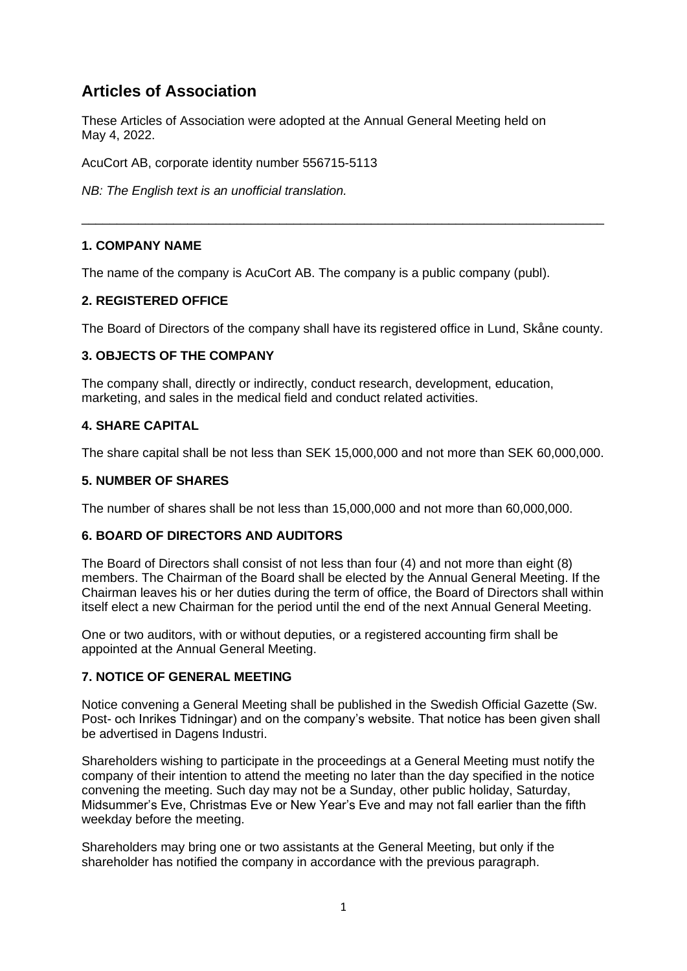# **Articles of Association**

These Articles of Association were adopted at the Annual General Meeting held on May 4, 2022.

AcuCort AB, corporate identity number 556715-5113

*NB: The English text is an unofficial translation.*

# **1. COMPANY NAME**

The name of the company is AcuCort AB. The company is a public company (publ).

# **2. REGISTERED OFFICE**

The Board of Directors of the company shall have its registered office in Lund, Skåne county.

\_\_\_\_\_\_\_\_\_\_\_\_\_\_\_\_\_\_\_\_\_\_\_\_\_\_\_\_\_\_\_\_\_\_\_\_\_\_\_\_\_\_\_\_\_\_\_\_\_\_\_\_\_\_\_\_\_\_\_\_\_\_\_\_\_\_\_\_\_\_\_\_\_\_

# **3. OBJECTS OF THE COMPANY**

The company shall, directly or indirectly, conduct research, development, education, marketing, and sales in the medical field and conduct related activities.

#### **4. SHARE CAPITAL**

The share capital shall be not less than SEK 15,000,000 and not more than SEK 60,000,000.

## **5. NUMBER OF SHARES**

The number of shares shall be not less than 15,000,000 and not more than 60,000,000.

#### **6. BOARD OF DIRECTORS AND AUDITORS**

The Board of Directors shall consist of not less than four (4) and not more than eight (8) members. The Chairman of the Board shall be elected by the Annual General Meeting. If the Chairman leaves his or her duties during the term of office, the Board of Directors shall within itself elect a new Chairman for the period until the end of the next Annual General Meeting.

One or two auditors, with or without deputies, or a registered accounting firm shall be appointed at the Annual General Meeting.

# **7. NOTICE OF GENERAL MEETING**

Notice convening a General Meeting shall be published in the Swedish Official Gazette (Sw. Post- och Inrikes Tidningar) and on the company's website. That notice has been given shall be advertised in Dagens Industri.

Shareholders wishing to participate in the proceedings at a General Meeting must notify the company of their intention to attend the meeting no later than the day specified in the notice convening the meeting. Such day may not be a Sunday, other public holiday, Saturday, Midsummer's Eve, Christmas Eve or New Year's Eve and may not fall earlier than the fifth weekday before the meeting.

Shareholders may bring one or two assistants at the General Meeting, but only if the shareholder has notified the company in accordance with the previous paragraph.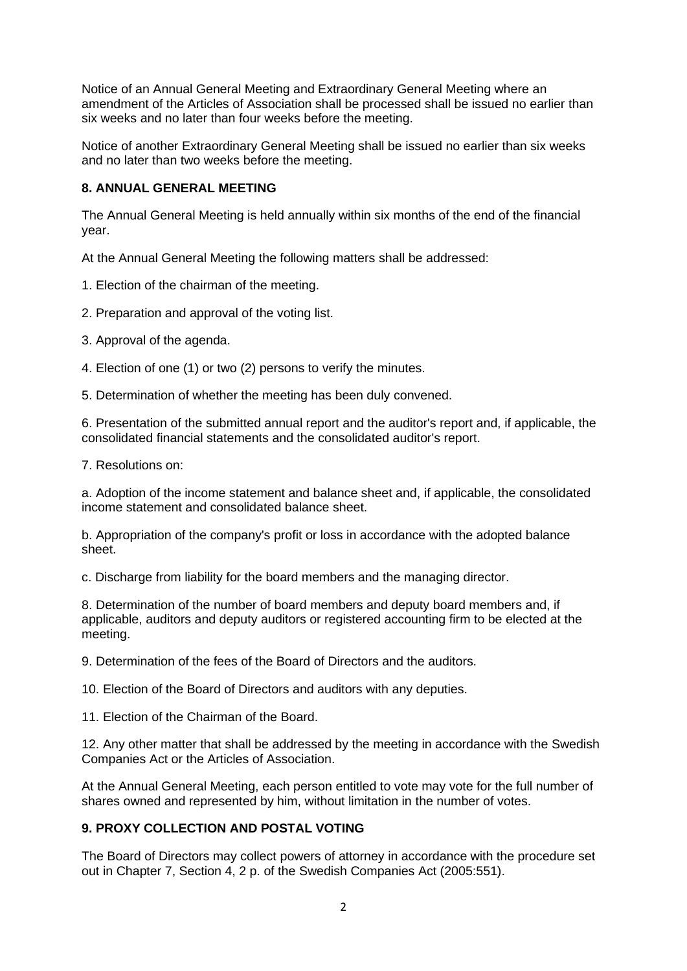Notice of an Annual General Meeting and Extraordinary General Meeting where an amendment of the Articles of Association shall be processed shall be issued no earlier than six weeks and no later than four weeks before the meeting.

Notice of another Extraordinary General Meeting shall be issued no earlier than six weeks and no later than two weeks before the meeting.

#### **8. ANNUAL GENERAL MEETING**

The Annual General Meeting is held annually within six months of the end of the financial year.

At the Annual General Meeting the following matters shall be addressed:

- 1. Election of the chairman of the meeting.
- 2. Preparation and approval of the voting list.
- 3. Approval of the agenda.
- 4. Election of one (1) or two (2) persons to verify the minutes.
- 5. Determination of whether the meeting has been duly convened.

6. Presentation of the submitted annual report and the auditor's report and, if applicable, the consolidated financial statements and the consolidated auditor's report.

7. Resolutions on:

a. Adoption of the income statement and balance sheet and, if applicable, the consolidated income statement and consolidated balance sheet.

b. Appropriation of the company's profit or loss in accordance with the adopted balance sheet.

c. Discharge from liability for the board members and the managing director.

8. Determination of the number of board members and deputy board members and, if applicable, auditors and deputy auditors or registered accounting firm to be elected at the meeting.

9. Determination of the fees of the Board of Directors and the auditors.

10. Election of the Board of Directors and auditors with any deputies.

11. Election of the Chairman of the Board.

12. Any other matter that shall be addressed by the meeting in accordance with the Swedish Companies Act or the Articles of Association.

At the Annual General Meeting, each person entitled to vote may vote for the full number of shares owned and represented by him, without limitation in the number of votes.

# **9. PROXY COLLECTION AND POSTAL VOTING**

The Board of Directors may collect powers of attorney in accordance with the procedure set out in Chapter 7, Section 4, 2 p. of the Swedish Companies Act (2005:551).